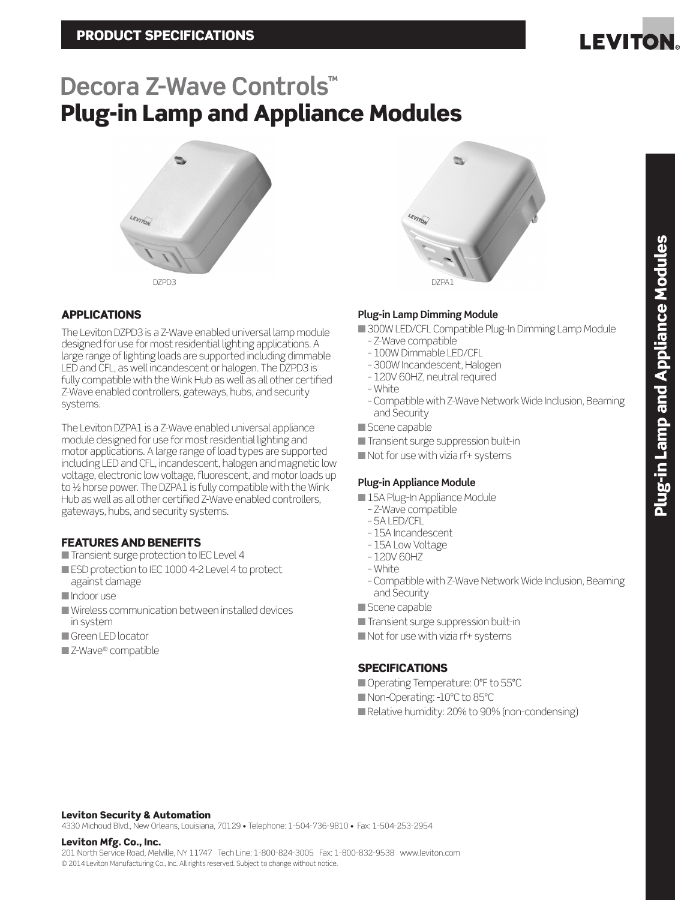

# Plug-in Lamp and Appliance Modules **Decora Z-Wave Controls™**





The Leviton DZPD3 is a Z-Wave enabled universal lamp module designed for use for most residential lighting applications. A large range of lighting loads are supported including dimmable LED and CFL, as well incandescent or halogen. The DZPD3 is fully compatible with the Wink Hub as well as all other certified Z-Wave enabled controllers, gateways, hubs, and security systems.

The Leviton DZPA1 is a Z-Wave enabled universal appliance module designed for use for most residential lighting and motor applications. A large range of load types are supported including LED and CFL, incandescent, halogen and magnetic low voltage, electronic low voltage, fluorescent, and motor loads up to 1/2 horse power. The DZPA1 is fully compatible with the Wink Hub as well as all other certified Z-Wave enabled controllers, gateways, hubs, and security systems.

# FEATURES AND BENEFITS

- Transient surge protection to IEC Level 4
- ESD protection to IEC 1000 4-2 Level 4 to protect against damage
- n Indoor use
- $\blacksquare$  Wireless communication between installed devices in system
- **n** Green LED locator
- $\square$  Z-Wave® compatible

# **Plug-in Lamp Dimming Module**

- 300W LED/CFL Compatible Plug-In Dimming Lamp Module
- Z-Wave compatible
- 100W Dimmable LED/CFL
- 300W Incandescent, Halogen
- 120V 60HZ, neutral required
- White
- Compatible with Z-Wave Network Wide Inclusion, Beaming and Security
- Scene capable
- **n** Transient surge suppression built-in
- $\blacksquare$  Not for use with vizia rf+ systems

# **Plug-in Appliance Module**

- 15A Plug-In Appliance Module
	- Z-Wave compatible
	- 5A LED/CFL
	- 15A Incandescent
	- 15A Low Voltage
	- 120V 60HZ
	- White
	- Compatible with Z-Wave Network Wide Inclusion, Beaming and Security
- Scene capable
- Transient surge suppression built-in
- $\blacksquare$  Not for use with vizia rf+ systems

# **SPECIFICATIONS**

- Operating Temperature: 0°F to 55°C ■ Non-Operating: -10°C to 85°C
- Relative humidity: 20% to 90% (non-condensing)

## Leviton Security & Automation

4330 Michoud Blvd., New Orleans, Louisiana, 70129 • Telephone: 1-504-736-9810 • Fax: 1-504-253-2954

## Leviton Mfg. Co., Inc.

201 North Service Road, Melville, NY 11747 Tech Line: 1-800-824-3005 Fax: 1-800-832-9538 www.leviton.com © 2014 Leviton Manufacturing Co., Inc. All rights reserved. Subject to change without notice.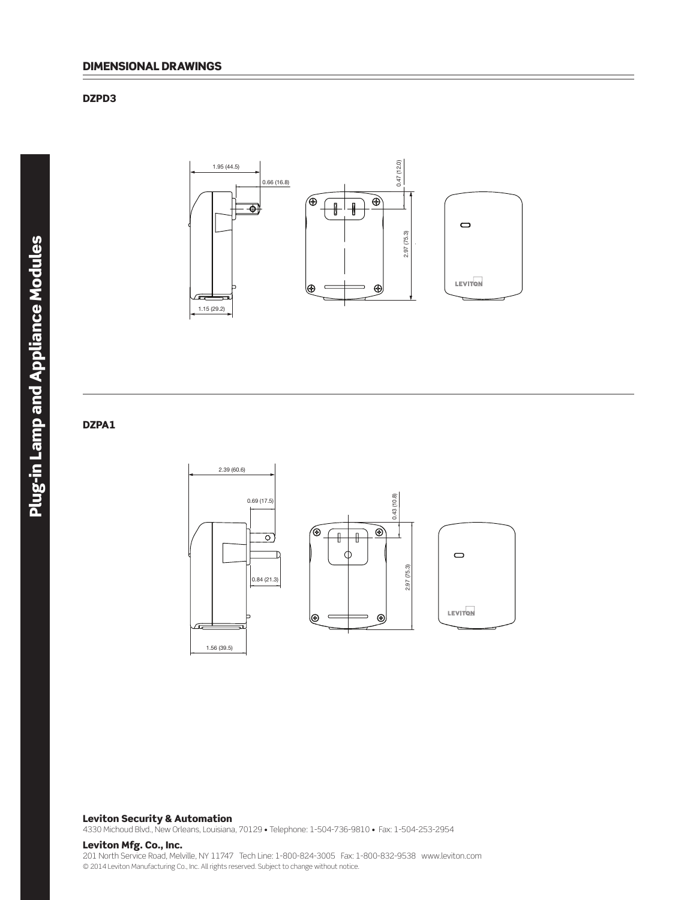## DZPD3



2.39 (60.6)

## DZPA1



 $\bigcirc$ 

LEVITON

#### Leviton Security & Automation

4330 Michoud Blvd., New Orleans, Louisiana, 70129 • Telephone: 1-504-736-9810 • Fax: 1-504-253-2954

## Leviton Mfg. Co., Inc.

201 North Service Road, Melville, NY 11747 Tech Line: 1-800-824-3005 Fax: 1-800-832-9538 www.leviton.com © 2014 Leviton Manufacturing Co., Inc. All rights reserved. Subject to change without notice.